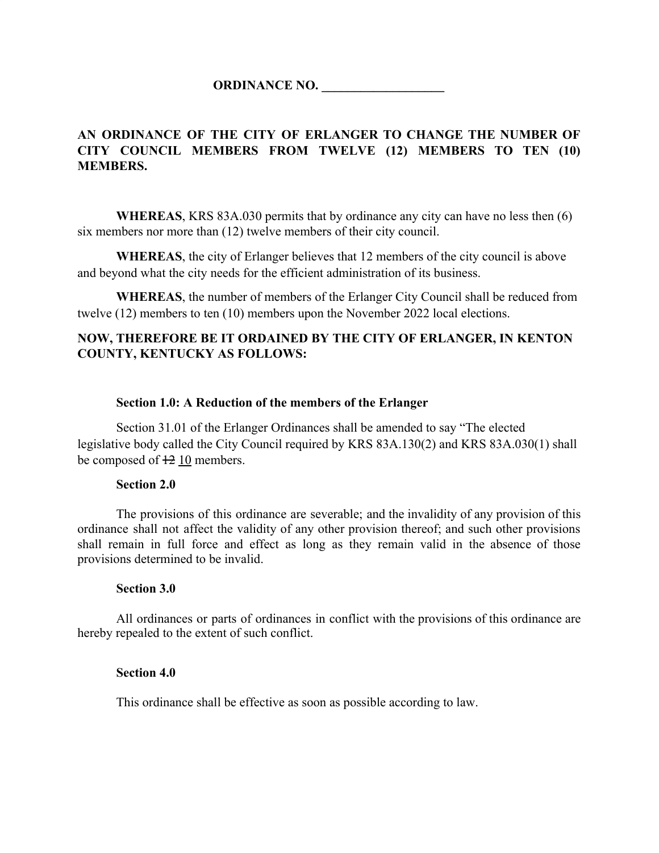**ORDINANCE NO. \_\_\_\_\_\_\_\_\_\_\_\_\_\_\_\_\_\_\_**

## **AN ORDINANCE OF THE CITY OF ERLANGER TO CHANGE THE NUMBER OF CITY COUNCIL MEMBERS FROM TWELVE (12) MEMBERS TO TEN (10) MEMBERS.**

**WHEREAS**, KRS 83A.030 permits that by ordinance any city can have no less then (6) six members nor more than (12) twelve members of their city council.

**WHEREAS**, the city of Erlanger believes that 12 members of the city council is above and beyond what the city needs for the efficient administration of its business.

**WHEREAS**, the number of members of the Erlanger City Council shall be reduced from twelve (12) members to ten (10) members upon the November 2022 local elections.

## **NOW, THEREFORE BE IT ORDAINED BY THE CITY OF ERLANGER, IN KENTON COUNTY, KENTUCKY AS FOLLOWS:**

#### **Section 1.0: A Reduction of the members of the Erlanger**

Section 31.01 of the Erlanger Ordinances shall be amended to say "The elected legislative body called the City Council required by KRS 83A.130(2) and KRS 83A.030(1) shall be composed of  $\frac{12}{10}$  members.

#### **Section 2.0**

The provisions of this ordinance are severable; and the invalidity of any provision of this ordinance shall not affect the validity of any other provision thereof; and such other provisions shall remain in full force and effect as long as they remain valid in the absence of those provisions determined to be invalid.

#### **Section 3.0**

All ordinances or parts of ordinances in conflict with the provisions of this ordinance are hereby repealed to the extent of such conflict.

#### **Section 4.0**

This ordinance shall be effective as soon as possible according to law.